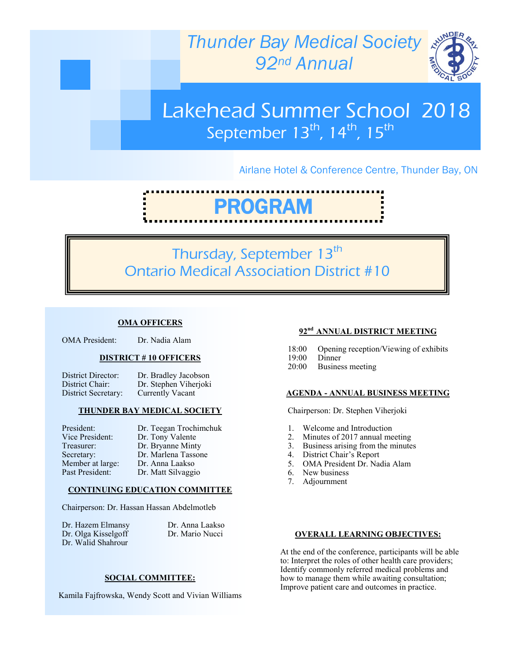



# Lakehead Summer School 2018 September  $13<sup>th</sup>$ ,  $14<sup>th</sup>$ ,  $15<sup>th</sup>$

## Airlane Hotel & Conference Centre, Thunder Bay, ON

# PROGRAM

# Thursday, September 13<sup>th</sup> Ontario Medical Association District #10

#### **OMA OFFICERS**

| <b>OMA</b> President: | Dr. Nadia Alam |
|-----------------------|----------------|
|-----------------------|----------------|

#### **DISTRICT # 10 OFFICERS**

| District Director:  | Dr. Bradley Jacobson  |
|---------------------|-----------------------|
| District Chair:     | Dr. Stephen Viherjoki |
| District Secretary: | Currently Vacant      |

#### **THUNDER BAY MEDICAL SOCIETY**

| President:       | Dr. Teegan Trochimchuk |
|------------------|------------------------|
| Vice President:  | Dr. Tony Valente       |
| Treasurer:       | Dr. Bryanne Minty      |
| Secretary:       | Dr. Marlena Tassone    |
| Member at large: | Dr. Anna Laakso        |
| Past President:  | Dr. Matt Silvaggio     |
|                  |                        |

#### **CONTINUING EDUCATION COMMITTEE**

Chairperson: Dr. Hassan Hassan Abdelmotleb

Dr. Hazem Elmansy Dr. Anna Laakso Dr. Olga Kisselgoff Dr. Mario Nucci Dr. Walid Shahrour

#### **SOCIAL COMMITTEE:**

Kamila Fajfrowska, Wendy Scott and Vivian Williams

#### **92nd ANNUAL DISTRICT MEETING**

- 18:00 Opening reception/Viewing of exhibits
- 19:00 Dinner
- 20:00 Business meeting

#### **AGENDA - ANNUAL BUSINESS MEETING**

Chairperson: Dr. Stephen Viherjoki

- 1. Welcome and Introduction
- 2. Minutes of 2017 annual meeting
- 3. Business arising from the minutes
- 4. District Chair's Report
- 5. OMA President Dr. Nadia Alam
- 6. New business
- 7. Adjournment

#### **OVERALL LEARNING OBJECTIVES:**

At the end of the conference, participants will be able to: Interpret the roles of other health care providers; Identify commonly referred medical problems and how to manage them while awaiting consultation; Improve patient care and outcomes in practice.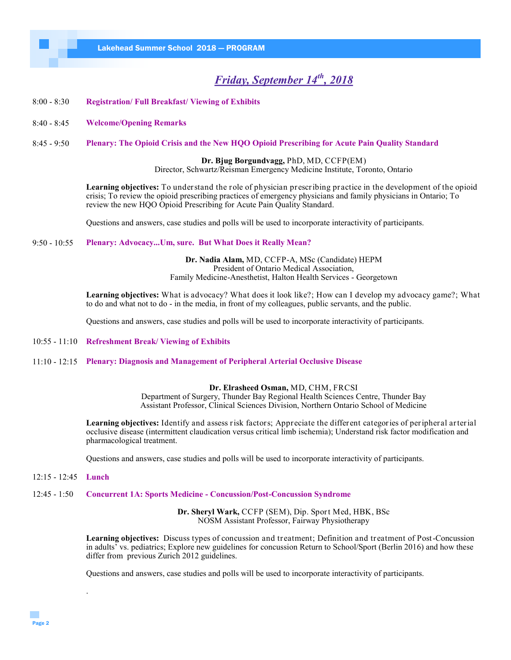# *Friday, September 14th, 2018*

- 8:00 8:30 **Registration/ Full Breakfast/ Viewing of Exhibits**
- 8:40 8:45 **Welcome/Opening Remarks**
- 8:45 9:50 **Plenary: The Opioid Crisis and the New HQO Opioid Prescribing for Acute Pain Quality Standard**

**Dr. Bjug Borgundvagg,** PhD, MD, CCFP(EM) Director, Schwartz/Reisman Emergency Medicine Institute, Toronto, Ontario

**Learning objectives:** To understand the role of physician prescribing practice in the development of the opioid crisis; To review the opioid prescribing practices of emergency physicians and family physicians in Ontario; To review the new HQO Opioid Prescribing for Acute Pain Quality Standard.

Questions and answers, case studies and polls will be used to incorporate interactivity of participants.

#### 9:50 - 10:55 **Plenary: Advocacy...Um, sure. But What Does it Really Mean?**

**Dr. Nadia Alam,** MD, CCFP-A, MSc (Candidate) HEPM President of Ontario Medical Association, Family Medicine-Anesthetist, Halton Health Services - Georgetown

**Learning objectives:** What is advocacy? What does it look like?; How can I develop my advocacy game?; What to do and what not to do - in the media, in front of my colleagues, public servants, and the public.

Questions and answers, case studies and polls will be used to incorporate interactivity of participants.

- 10:55 11:10 **Refreshment Break/ Viewing of Exhibits**
- 11:10 12:15 **Plenary: Diagnosis and Management of Peripheral Arterial Occlusive Disease**

#### **Dr. Elrasheed Osman,** MD, CHM, FRCSI

Department of Surgery, Thunder Bay Regional Health Sciences Centre, Thunder Bay Assistant Professor, Clinical Sciences Division, Northern Ontario School of Medicine

**Learning objectives:** Identify and assess risk factors; Appreciate the different categories of peripheral arterial occlusive disease (intermittent claudication versus critical limb ischemia); Understand risk factor modification and pharmacological treatment.

Questions and answers, case studies and polls will be used to incorporate interactivity of participants.

12:15 - 12:45 **Lunch**

.

12:45 - 1:50 **Concurrent 1A: Sports Medicine - Concussion/Post-Concussion Syndrome**

**Dr. Sheryl Wark,** CCFP (SEM), Dip. Sport Med, HBK, BSc NOSM Assistant Professor, Fairway Physiotherapy

**Learning objectives:** Discuss types of concussion and treatment; Definition and treatment of Post-Concussion in adults' vs. pediatrics; Explore new guidelines for concussion Return to School/Sport (Berlin 2016) and how these differ from previous Zurich 2012 guidelines.

Questions and answers, case studies and polls will be used to incorporate interactivity of participants.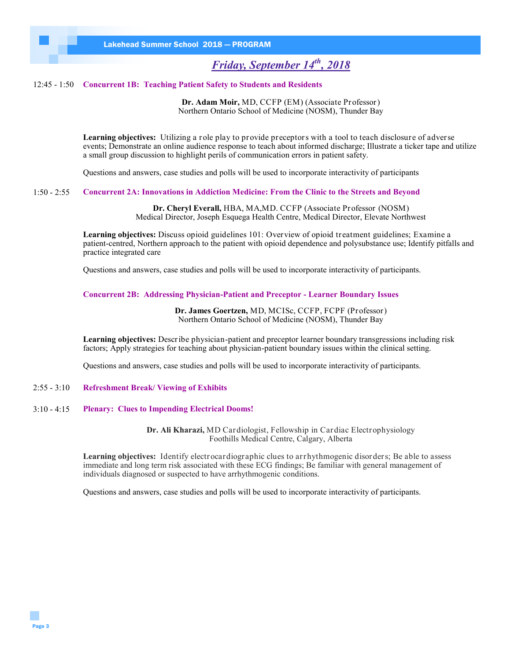# *Friday, September 14th, 2018*

#### 12:45 - 1:50 **Concurrent 1B: Teaching Patient Safety to Students and Residents**

**Dr. Adam Moir,** MD, CCFP (EM) (Associate Professor) Northern Ontario School of Medicine (NOSM), Thunder Bay

**Learning objectives:** Utilizing a role play to provide preceptors with a tool to teach disclosure of adverse events; Demonstrate an online audience response to teach about informed discharge; Illustrate a ticker tape and utilize a small group discussion to highlight perils of communication errors in patient safety.

Questions and answers, case studies and polls will be used to incorporate interactivity of participants

1:50 - 2:55 **Concurrent 2A: Innovations in Addiction Medicine: From the Clinic to the Streets and Beyond**

**Dr. Cheryl Everall,** HBA, MA,MD. CCFP (Associate Professor (NOSM) Medical Director, Joseph Esquega Health Centre, Medical Director, Elevate Northwest

**Learning objectives:** Discuss opioid guidelines 101: Overview of opioid treatment guidelines; Examine a patient-centred, Northern approach to the patient with opioid dependence and polysubstance use; Identify pitfalls and practice integrated care

Questions and answers, case studies and polls will be used to incorporate interactivity of participants.

**Concurrent 2B: Addressing Physician-Patient and Preceptor - Learner Boundary Issues**

**Dr. James Goertzen,** MD, MCISc, CCFP, FCPF (Professor) Northern Ontario School of Medicine (NOSM), Thunder Bay

**Learning objectives:** Describe physician-patient and preceptor learner boundary transgressions including risk factors; Apply strategies for teaching about physician-patient boundary issues within the clinical setting.

Questions and answers, case studies and polls will be used to incorporate interactivity of participants.

#### 2:55 - 3:10 **Refreshment Break/ Viewing of Exhibits**

#### 3:10 - 4:15 **Plenary: Clues to Impending Electrical Dooms!**

**Dr. Ali Kharazi,** MD Cardiologist, Fellowship in Cardiac Electrophysiology Foothills Medical Centre, Calgary, Alberta

Learning objectives: Identify electrocardiographic clues to arrhythmogenic disorders; Be able to assess immediate and long term risk associated with these ECG findings; Be familiar with general management of individuals diagnosed or suspected to have arrhythmogenic conditions.

Questions and answers, case studies and polls will be used to incorporate interactivity of participants.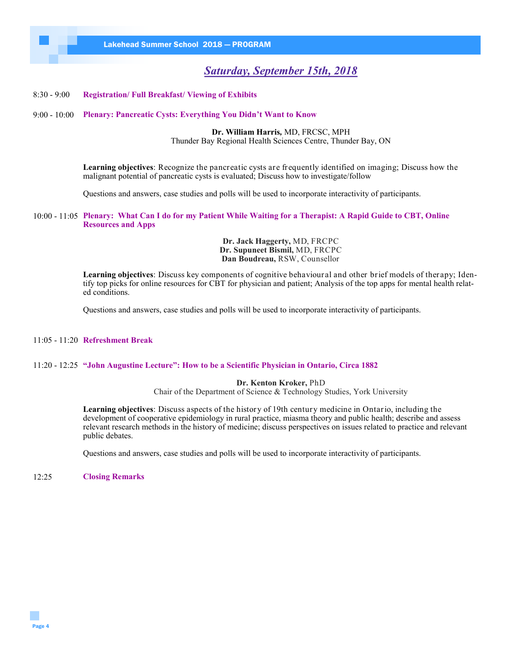# *Saturday, September 15th, 2018*

#### 8:30 - 9:00 **Registration/ Full Breakfast/ Viewing of Exhibits**

#### 9:00 - 10:00 **Plenary: Pancreatic Cysts: Everything You Didn't Want to Know**

**Dr. William Harris***,* MD, FRCSC, MPH Thunder Bay Regional Health Sciences Centre, Thunder Bay, ON

**Learning objectives**: Recognize the pancreatic cysts are frequently identified on imaging; Discuss how the malignant potential of pancreatic cysts is evaluated; Discuss how to investigate/follow

Questions and answers, case studies and polls will be used to incorporate interactivity of participants.

10:00 - 11:05 **Plenary: What Can I do for my Patient While Waiting for a Therapist: A Rapid Guide to CBT, Online Resources and Apps**

> **Dr. Jack Haggerty,** MD, FRCPC **Dr. Supuneet Bismil,** MD, FRCPC **Dan Boudreau,** RSW, Counsellor

**Learning objectives**: Discuss key components of cognitive behavioural and other brief models of therapy; Identify top picks for online resources for CBT for physician and patient; Analysis of the top apps for mental health related conditions.

Questions and answers, case studies and polls will be used to incorporate interactivity of participants.

#### 11:05 - 11:20 **Refreshment Break**

#### 11:20 - 12:25 **"John Augustine Lecture": How to be a Scientific Physician in Ontario, Circa 1882**

**Dr. Kenton Kroker,** PhD

Chair of the Department of Science & Technology Studies, York University

**Learning objectives**: Discuss aspects of the history of 19th century medicine in Ontario, including the development of cooperative epidemiology in rural practice, miasma theory and public health; describe and assess relevant research methods in the history of medicine; discuss perspectives on issues related to practice and relevant public debates.

Questions and answers, case studies and polls will be used to incorporate interactivity of participants.

12:25 **Closing Remarks**